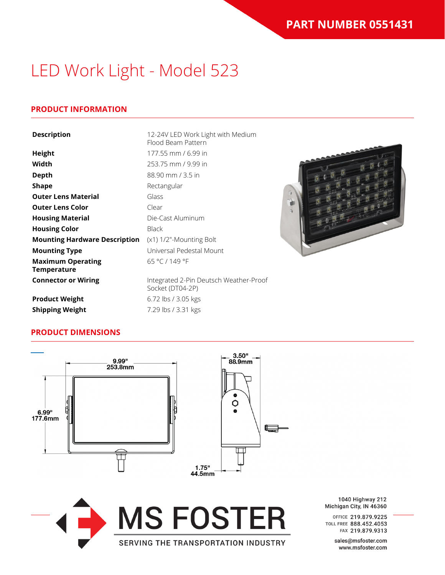# LED Work Light - Model 523

## **PRODUCT INFORMATION**

| <b>Description</b>                             | 12-24V LED Work Light with Medium<br>Flood Beam Pattern    |  |
|------------------------------------------------|------------------------------------------------------------|--|
| <b>Height</b>                                  | 177.55 mm / 6.99 in                                        |  |
| Width                                          | 253.75 mm / 9.99 in                                        |  |
| <b>Depth</b>                                   | 88.90 mm / 3.5 in                                          |  |
| <b>Shape</b>                                   | Rectangular                                                |  |
| <b>Outer Lens Material</b>                     | Glass                                                      |  |
| <b>Outer Lens Color</b>                        | Clear                                                      |  |
| <b>Housing Material</b>                        | Die-Cast Aluminum                                          |  |
| <b>Housing Color</b>                           | <b>Black</b>                                               |  |
| <b>Mounting Hardware Description</b>           | (x1) 1/2"-Mounting Bolt                                    |  |
| <b>Mounting Type</b>                           | Universal Pedestal Mount                                   |  |
| <b>Maximum Operating</b><br><b>Temperature</b> | 65 °C / 149 °F                                             |  |
| <b>Connector or Wiring</b>                     | Integrated 2-Pin Deutsch Weather-Proof<br>Socket (DT04-2P) |  |
| <b>Product Weight</b>                          | 6.72 lbs / 3.05 kgs                                        |  |
| <b>Shipping Weight</b>                         | 7.29 lbs / 3.31 kgs                                        |  |

## **PRODUCT DIMENSIONS**



1040 Highway 212 Michigan City, IN 46360

OFFICE 219.879.9225 TOLL FREE 888.452.4053 FAX 219.879.9313

> sales@msfoster.com www.msfoster.com

#### SERVING THE TRANSPORTATION INDUSTRY

**MS FOSTER**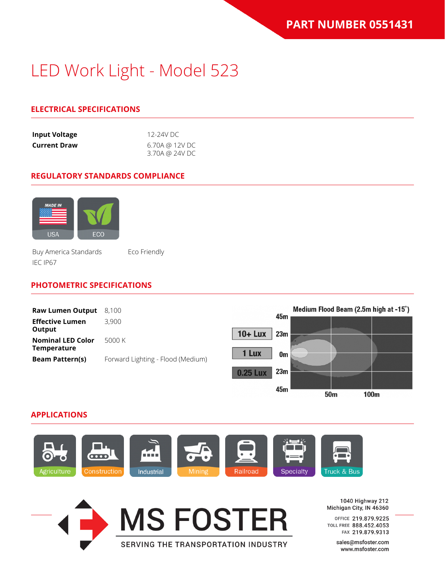# LED Work Light - Model 523

## **ELECTRICAL SPECIFICATIONS**

| <b>Input Voltage</b> | 12-24V DC      |
|----------------------|----------------|
| <b>Current Draw</b>  | 6.70A @ 12V DC |
|                      | 3.70A @ 24V DC |

#### **REGULATORY STANDARDS COMPLIANCE**



Buy America Standards Eco Friendly IEC IP67

### **PHOTOMETRIC SPECIFICATIONS**



### **APPLICATIONS**





1040 Highway 212 Michigan City, IN 46360

OFFICE 219.879.9225 TOLL FREE 888.452.4053 FAX 219.879.9313

> sales@msfoster.com www.msfoster.com